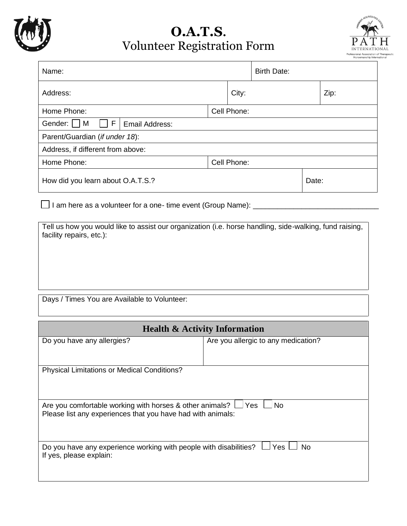

## **O.A.T.S.** Volunteer Registration Form



| Name:                                   |             |       | <b>Birth Date:</b> |       |  |
|-----------------------------------------|-------------|-------|--------------------|-------|--|
| Address:                                |             | City: |                    | Zip:  |  |
| Home Phone:                             | Cell Phone: |       |                    |       |  |
| F<br>Gender:    <br>M<br>Email Address: |             |       |                    |       |  |
| Parent/Guardian (if under 18):          |             |       |                    |       |  |
| Address, if different from above:       |             |       |                    |       |  |
| Home Phone:                             | Cell Phone: |       |                    |       |  |
| How did you learn about O.A.T.S.?       |             |       |                    | Date: |  |
|                                         |             |       |                    |       |  |

□ I am here as a volunteer for a one- time event (Group Name): \_\_\_\_\_\_\_\_\_\_\_\_\_\_\_\_\_\_\_\_\_\_\_

Tell us how you would like to assist our organization (i.e. horse handling, side-walking, fund raising, facility repairs, etc.):

Days / Times You are Available to Volunteer:

| <b>Health &amp; Activity Information</b>                                                                                                     |                                     |  |  |  |  |
|----------------------------------------------------------------------------------------------------------------------------------------------|-------------------------------------|--|--|--|--|
| Do you have any allergies?                                                                                                                   | Are you allergic to any medication? |  |  |  |  |
|                                                                                                                                              |                                     |  |  |  |  |
| <b>Physical Limitations or Medical Conditions?</b>                                                                                           |                                     |  |  |  |  |
|                                                                                                                                              |                                     |  |  |  |  |
| Are you comfortable working with horses & other animals? $\Box$ Yes $\Box$ No<br>Please list any experiences that you have had with animals: |                                     |  |  |  |  |
| Do you have any experience working with people with disabilities? $\Box$ Yes<br>No.<br>If yes, please explain:                               |                                     |  |  |  |  |
|                                                                                                                                              |                                     |  |  |  |  |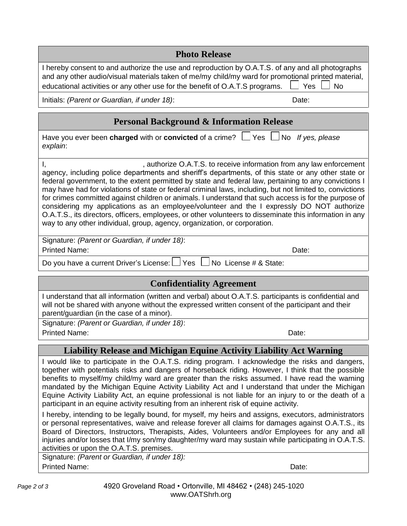| <b>Photo Release</b>                                                                                                                                                                                                                                                                                                                                                                                                                                                                                                                                                                                                                                                                                                                                                                                                                                                                                                                                                                                                                                                                   |                  |  |  |  |
|----------------------------------------------------------------------------------------------------------------------------------------------------------------------------------------------------------------------------------------------------------------------------------------------------------------------------------------------------------------------------------------------------------------------------------------------------------------------------------------------------------------------------------------------------------------------------------------------------------------------------------------------------------------------------------------------------------------------------------------------------------------------------------------------------------------------------------------------------------------------------------------------------------------------------------------------------------------------------------------------------------------------------------------------------------------------------------------|------------------|--|--|--|
| I hereby consent to and authorize the use and reproduction by O.A.T.S. of any and all photographs<br>and any other audio/visual materials taken of me/my child/my ward for promotional printed material,<br>educational activities or any other use for the benefit of O.A.T.S programs.                                                                                                                                                                                                                                                                                                                                                                                                                                                                                                                                                                                                                                                                                                                                                                                               | Yes<br><b>No</b> |  |  |  |
| Initials: (Parent or Guardian, if under 18):<br>Date:                                                                                                                                                                                                                                                                                                                                                                                                                                                                                                                                                                                                                                                                                                                                                                                                                                                                                                                                                                                                                                  |                  |  |  |  |
| <b>Personal Background &amp; Information Release</b>                                                                                                                                                                                                                                                                                                                                                                                                                                                                                                                                                                                                                                                                                                                                                                                                                                                                                                                                                                                                                                   |                  |  |  |  |
| Have you ever been charged with or convicted of a crime? $\Box$ Yes $\Box$ No If yes, please<br>explain:                                                                                                                                                                                                                                                                                                                                                                                                                                                                                                                                                                                                                                                                                                                                                                                                                                                                                                                                                                               |                  |  |  |  |
| , authorize O.A.T.S. to receive information from any law enforcement<br>Ι,<br>agency, including police departments and sheriff's departments, of this state or any other state or<br>federal government, to the extent permitted by state and federal law, pertaining to any convictions I<br>may have had for violations of state or federal criminal laws, including, but not limited to, convictions<br>for crimes committed against children or animals. I understand that such access is for the purpose of<br>considering my applications as an employee/volunteer and the I expressly DO NOT authorize<br>O.A.T.S., its directors, officers, employees, or other volunteers to disseminate this information in any<br>way to any other individual, group, agency, organization, or corporation.                                                                                                                                                                                                                                                                                 |                  |  |  |  |
| Signature: (Parent or Guardian, if under 18):<br><b>Printed Name:</b><br>Date:                                                                                                                                                                                                                                                                                                                                                                                                                                                                                                                                                                                                                                                                                                                                                                                                                                                                                                                                                                                                         |                  |  |  |  |
| Do you have a current Driver's License: LJ Yes L<br>No License # & State:                                                                                                                                                                                                                                                                                                                                                                                                                                                                                                                                                                                                                                                                                                                                                                                                                                                                                                                                                                                                              |                  |  |  |  |
| <b>Confidentiality Agreement</b>                                                                                                                                                                                                                                                                                                                                                                                                                                                                                                                                                                                                                                                                                                                                                                                                                                                                                                                                                                                                                                                       |                  |  |  |  |
| I understand that all information (written and verbal) about O.A.T.S. participants is confidential and<br>will not be shared with anyone without the expressed written consent of the participant and their<br>parent/guardian (in the case of a minor).                                                                                                                                                                                                                                                                                                                                                                                                                                                                                                                                                                                                                                                                                                                                                                                                                               |                  |  |  |  |
| Signature: (Parent or Guardian, if under 18):<br><b>Printed Name:</b><br>Date:                                                                                                                                                                                                                                                                                                                                                                                                                                                                                                                                                                                                                                                                                                                                                                                                                                                                                                                                                                                                         |                  |  |  |  |
| <b>Liability Release and Michigan Equine Activity Liability Act Warning</b>                                                                                                                                                                                                                                                                                                                                                                                                                                                                                                                                                                                                                                                                                                                                                                                                                                                                                                                                                                                                            |                  |  |  |  |
| I would like to participate in the O.A.T.S. riding program. I acknowledge the risks and dangers,<br>together with potentials risks and dangers of horseback riding. However, I think that the possible<br>benefits to myself/my child/my ward are greater than the risks assumed. I have read the warning<br>mandated by the Michigan Equine Activity Liability Act and I understand that under the Michigan<br>Equine Activity Liability Act, an equine professional is not liable for an injury to or the death of a<br>participant in an equine activity resulting from an inherent risk of equine activity.<br>I hereby, intending to be legally bound, for myself, my heirs and assigns, executors, administrators<br>or personal representatives, waive and release forever all claims for damages against O.A.T.S., its<br>Board of Directors, Instructors, Therapists, Aides, Volunteers and/or Employees for any and all<br>injuries and/or losses that I/my son/my daughter/my ward may sustain while participating in O.A.T.S.<br>activities or upon the O.A.T.S. premises. |                  |  |  |  |
| Signature: (Parent or Guardian, if under 18):                                                                                                                                                                                                                                                                                                                                                                                                                                                                                                                                                                                                                                                                                                                                                                                                                                                                                                                                                                                                                                          |                  |  |  |  |

Printed Name: Date: Date: Date: Date: Date: Date: Date: Date: Date: Date: Date: Date: Date: Date: Date: Date: Date: Date: Date: Date: Date: Date: Date: Date: Date: Date: Date: Date: Date: Date: Date: Date: Date: Date: Date